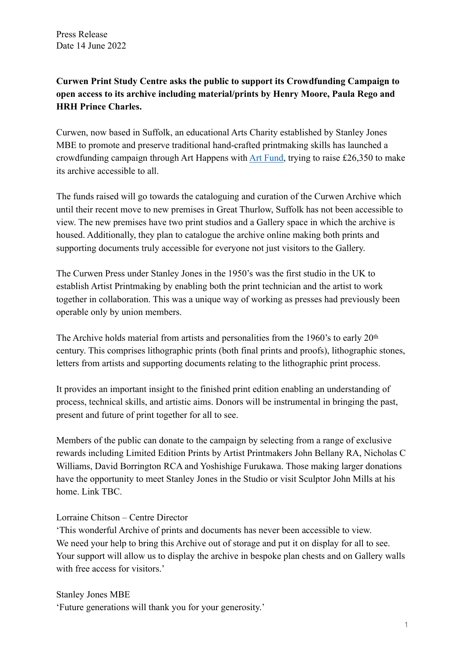## **Curwen Print Study Centre asks the public to support its Crowdfunding Campaign to open access to its archive including material/prints by Henry Moore, Paula Rego and HRH Prince Charles.**

Curwen, now based in Suffolk, an educational Arts Charity established by Stanley Jones MBE to promote and preserve traditional hand-crafted printmaking skills has launched a crowdfunding campaign through Art Happens with [Art Fund,](https://www.artfund.org/donate/art-happens/reveal-the-curwen-archive-for-everyone) trying to raise £26,350 to make its archive accessible to all.

The funds raised will go towards the cataloguing and curation of the Curwen Archive which until their recent move to new premises in Great Thurlow, Suffolk has not been accessible to view. The new premises have two print studios and a Gallery space in which the archive is housed. Additionally, they plan to catalogue the archive online making both prints and supporting documents truly accessible for everyone not just visitors to the Gallery.

The Curwen Press under Stanley Jones in the 1950's was the first studio in the UK to establish Artist Printmaking by enabling both the print technician and the artist to work together in collaboration. This was a unique way of working as presses had previously been operable only by union members.

The Archive holds material from artists and personalities from the 1960's to early 20th century. This comprises lithographic prints (both final prints and proofs), lithographic stones, letters from artists and supporting documents relating to the lithographic print process.

It provides an important insight to the finished print edition enabling an understanding of process, technical skills, and artistic aims. Donors will be instrumental in bringing the past, present and future of print together for all to see.

Members of the public can donate to the campaign by selecting from a range of exclusive rewards including Limited Edition Prints by Artist Printmakers John Bellany RA, Nicholas C Williams, David Borrington RCA and Yoshishige Furukawa. Those making larger donations have the opportunity to meet Stanley Jones in the Studio or visit Sculptor John Mills at his home. Link TBC.

## Lorraine Chitson – Centre Director

'This wonderful Archive of prints and documents has never been accessible to view. We need your help to bring this Archive out of storage and put it on display for all to see. Your support will allow us to display the archive in bespoke plan chests and on Gallery walls with free access for visitors.'

Stanley Jones MBE 'Future generations will thank you for your generosity.'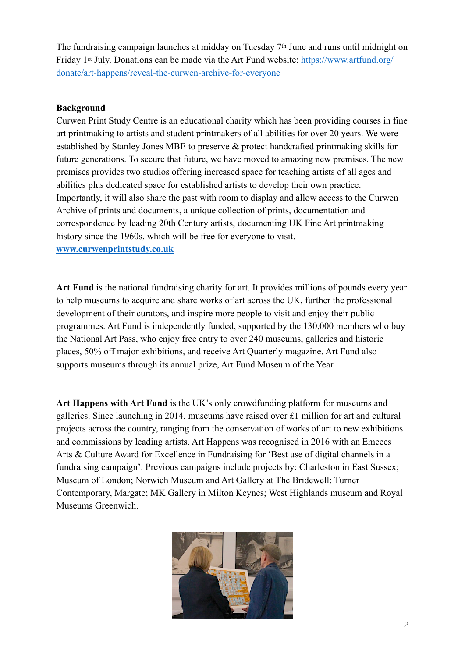The fundraising campaign launches at midday on Tuesday 7th June and runs until midnight on Friday 1<sup>st</sup> July. Donations can be made via the Art Fund website: [https://www.artfund.org/](https://www.artfund.org/donate/art-happens/reveal-the-curwen-archive-for-everyone) [donate/art-happens/reveal-the-curwen-archive-for-everyone](https://www.artfund.org/donate/art-happens/reveal-the-curwen-archive-for-everyone)

## **Background**

Curwen Print Study Centre is an educational charity which has been providing courses in fine art printmaking to artists and student printmakers of all abilities for over 20 years. We were established by Stanley Jones MBE to preserve & protect handcrafted printmaking skills for future generations. To secure that future, we have moved to amazing new premises. The new premises provides two studios offering increased space for teaching artists of all ages and abilities plus dedicated space for established artists to develop their own practice. Importantly, it will also share the past with room to display and allow access to the Curwen Archive of prints and documents, a unique collection of prints, documentation and correspondence by leading 20th Century artists, documenting UK Fine Art printmaking history since the 1960s, which will be free for everyone to visit. **[www.curwenprintstudy.co.uk](http://www.curwenprintstudy.co.uk)**

Art Fund is the national fundraising charity for art. It provides millions of pounds every year to help museums to acquire and share works of art across the UK, further the professional development of their curators, and inspire more people to visit and enjoy their public programmes. Art Fund is independently funded, supported by the 130,000 members who buy the National Art Pass, who enjoy free entry to over 240 museums, galleries and historic places, 50% off major exhibitions, and receive Art Quarterly magazine. Art Fund also supports museums through its annual prize, Art Fund Museum of the Year.

**Art Happens with Art Fund** is the UK's only crowdfunding platform for museums and galleries. Since launching in 2014, museums have raised over £1 million for art and cultural projects across the country, ranging from the conservation of works of art to new exhibitions and commissions by leading artists. Art Happens was recognised in 2016 with an Emcees Arts & Culture Award for Excellence in Fundraising for 'Best use of digital channels in a fundraising campaign'. Previous campaigns include projects by: Charleston in East Sussex; Museum of London; Norwich Museum and Art Gallery at The Bridewell; Turner Contemporary, Margate; MK Gallery in Milton Keynes; West Highlands museum and Royal Museums Greenwich.

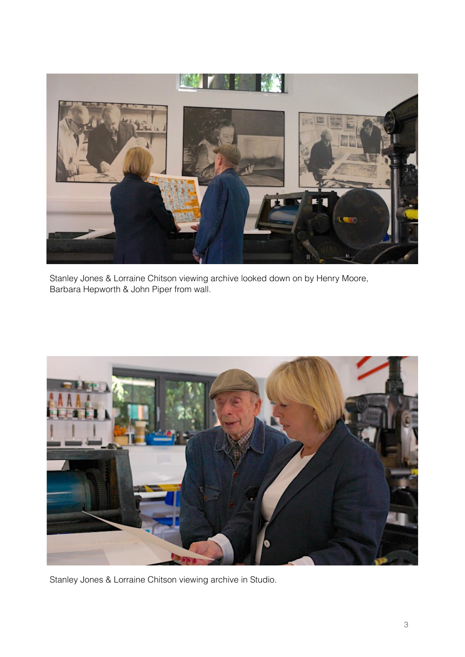

Stanley Jones & Lorraine Chitson viewing archive looked down on by Henry Moore, Barbara Hepworth & John Piper from wall.



Stanley Jones & Lorraine Chitson viewing archive in Studio.